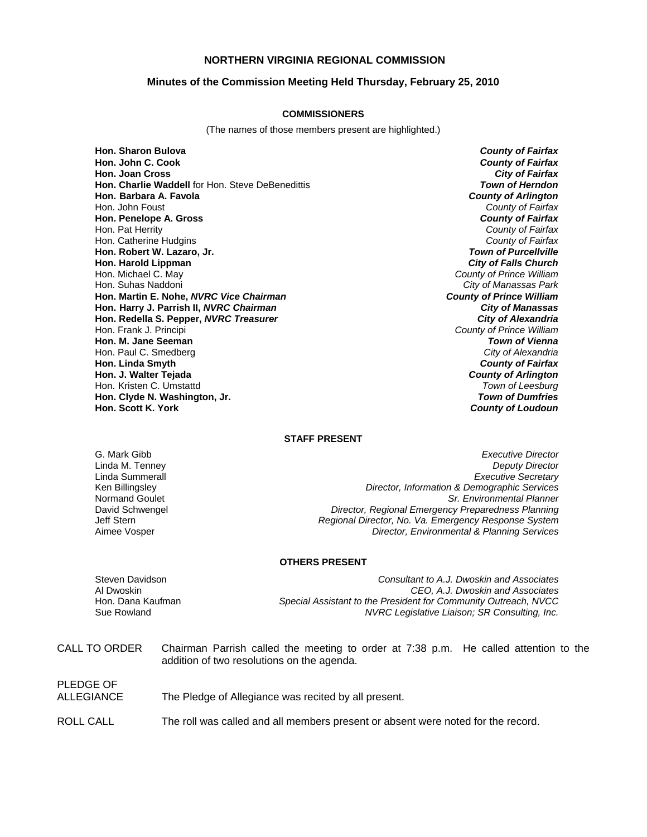# **NORTHERN VIRGINIA REGIONAL COMMISSION**

## **Minutes of the Commission Meeting Held Thursday, February 25, 2010**

### **COMMISSIONERS**

(The names of those members present are highlighted.)

**Hon. Sharon Bulova** *County of Fairfax* **Hon. Joan Cross Hon. Charlie Waddell** for Hon. Steve DeBenedittis *Town of Herndon* **Hon. Barbara A. Favola** *County of Arlington* Hon. John Foust *County of Fairfax* **Hon. Penelope A. Gross** *County of Fairfax* Hon. Pat Herrity *County of Fairfax* Hon. Catherine Hudgins *County of Fairfax* **Hon. Robert W. Lazaro, Jr.** *Town of Purcellville* **Hon. Harold Lippman**<br>**Hon. Michael C. May** Hon. Michael C. May *County of Prince William* **Hon. Martin E. Nohe,** *NVRC Vice Chairman County of Prince William* **Hon. Harry J. Parrish II, NVRC Chairman Hon. Redella S. Pepper,** *NVRC Treasurer City of Alexandria* Hon. Frank J. Principi *County of Prince William* **Hon. M. Jane Seeman** *Town of Vienna* Hon. Paul C. Smedberg *City of Alexandria* **Hon. Linda Smyth** *County of Fairfax* **Hon. J. Walter Tejada** *County of Arlington* Hon. Kristen C. Umstattd *Town of Leesburg* **Hon. Clyde N. Washington, Jr. <br><b>Hon. Scott K. York** 

**County of Fairfax**<br>City of Fairfax **City of Manassas Park**<br>**County of Prince William County of Loudoun** 

## **STAFF PRESENT**

G. Mark Gibb *Executive Director* Linda M. Tenney *Deputy Director* Linda Summerall *Executive Secretary* Ken Billingsley *Director, Information & Demographic Services* Normand Goulet *Sr. Environmental Planner* David Schwengel *Director, Regional Emergency Preparedness Planning* Jeff Stern *Regional Director, No. Va. Emergency Response System* Aimee Vosper *Director, Environmental & Planning Services*

#### **OTHERS PRESENT**

PLEDGE OF

Steven Davidson *Consultant to A.J. Dwoskin and Associates* Al Dwoskin *CEO, A.J. Dwoskin and Associates* Hon. Dana Kaufman *Special Assistant to the President for Community Outreach, NVCC* NVRC Legislative Liaison; SR Consulting, Inc.

| CALL TO ORDER | Chairman Parrish called the meeting to order at 7:38 p.m. He called attention to the |
|---------------|--------------------------------------------------------------------------------------|
|               | addition of two resolutions on the agenda.                                           |

| .          |                                                      |
|------------|------------------------------------------------------|
| ALLEGIANCE | The Pledge of Allegiance was recited by all present. |
|            |                                                      |

ROLL CALL The roll was called and all members present or absent were noted for the record.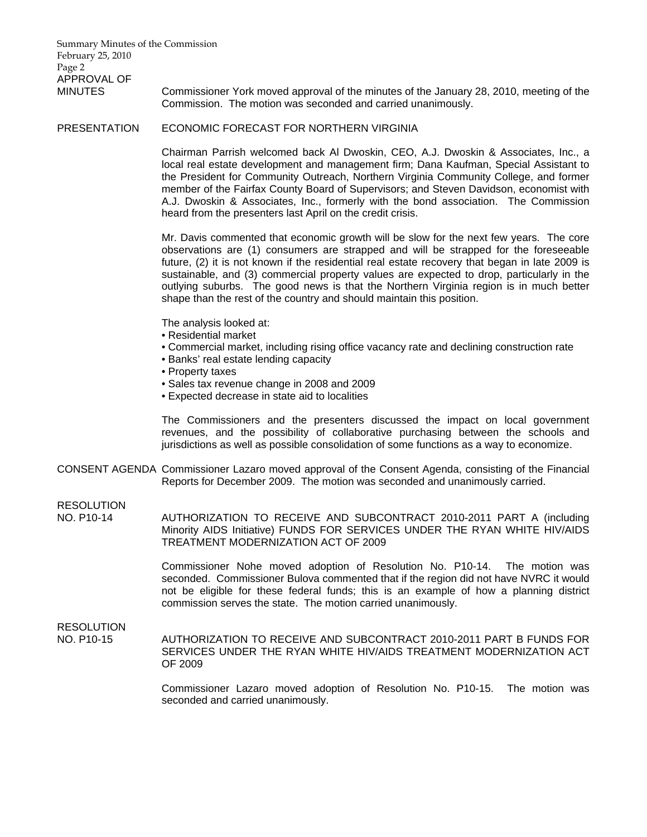Summary Minutes of the Commission February 25, 2010 Page 2 APPROVAL OF MINUTES Commissioner York moved approval of the minutes of the January 28, 2010, meeting of the Commission. The motion was seconded and carried unanimously.

PRESENTATION ECONOMIC FORECAST FOR NORTHERN VIRGINIA

 Chairman Parrish welcomed back Al Dwoskin, CEO, A.J. Dwoskin & Associates, Inc., a local real estate development and management firm; Dana Kaufman, Special Assistant to the President for Community Outreach, Northern Virginia Community College, and former member of the Fairfax County Board of Supervisors; and Steven Davidson, economist with A.J. Dwoskin & Associates, Inc., formerly with the bond association. The Commission heard from the presenters last April on the credit crisis.

Mr. Davis commented that economic growth will be slow for the next few years. The core observations are (1) consumers are strapped and will be strapped for the foreseeable future, (2) it is not known if the residential real estate recovery that began in late 2009 is sustainable, and (3) commercial property values are expected to drop, particularly in the outlying suburbs. The good news is that the Northern Virginia region is in much better shape than the rest of the country and should maintain this position.

The analysis looked at:

- Residential market
- Commercial market, including rising office vacancy rate and declining construction rate
- Banks' real estate lending capacity
- Property taxes
- Sales tax revenue change in 2008 and 2009
- Expected decrease in state aid to localities

The Commissioners and the presenters discussed the impact on local government revenues, and the possibility of collaborative purchasing between the schools and jurisdictions as well as possible consolidation of some functions as a way to economize.

CONSENT AGENDA Commissioner Lazaro moved approval of the Consent Agenda, consisting of the Financial Reports for December 2009. The motion was seconded and unanimously carried.

RESOLUTION<br>NO. P10-14

AUTHORIZATION TO RECEIVE AND SUBCONTRACT 2010-2011 PART A (including Minority AIDS Initiative) FUNDS FOR SERVICES UNDER THE RYAN WHITE HIV/AIDS TREATMENT MODERNIZATION ACT OF 2009

Commissioner Nohe moved adoption of Resolution No. P10-14. The motion was seconded. Commissioner Bulova commented that if the region did not have NVRC it would not be eligible for these federal funds; this is an example of how a planning district commission serves the state. The motion carried unanimously.

RESOLUTION

NO. P10-15 AUTHORIZATION TO RECEIVE AND SUBCONTRACT 2010-2011 PART B FUNDS FOR SERVICES UNDER THE RYAN WHITE HIV/AIDS TREATMENT MODERNIZATION ACT OF 2009

> Commissioner Lazaro moved adoption of Resolution No. P10-15. The motion was seconded and carried unanimously.